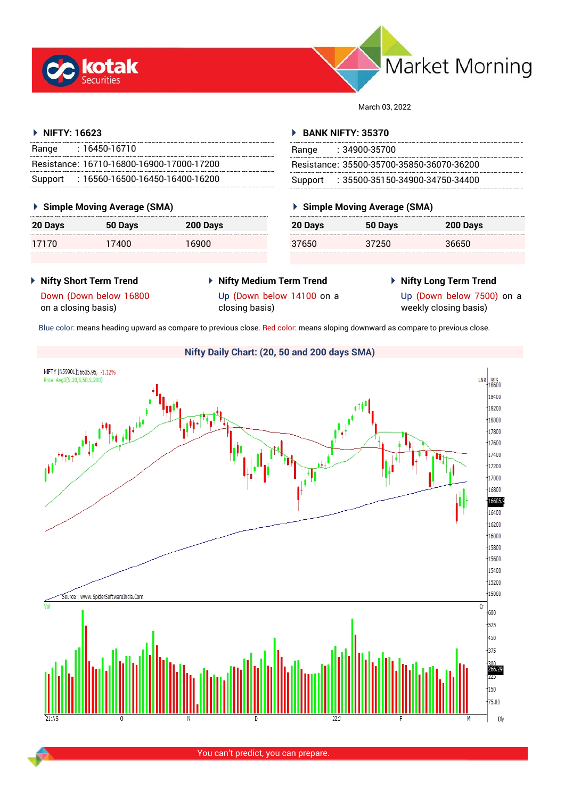



March 03, 2022

## **NIFTY: 16623**

| Range | $: 16450 - 16710$                         |
|-------|-------------------------------------------|
|       | Resistance: 16710-16800-16900-17000-17200 |
|       | Support: 16560-16500-16450-16400-16200    |

## **Simple Moving Average (SMA)**

| 20 Days | 50 Days | 200 Days |
|---------|---------|----------|
| 17170   | 17400   | 16900    |

## **BANK NIFTY: 35370**

| Range | $: 34900 - 35700$                         |
|-------|-------------------------------------------|
|       | Resistance: 35500-35700-35850-36070-36200 |
|       | Support : 35500-35150-34900-34750-34400   |

## **Simple Moving Average (SMA)**

| 20 Days | 50 Days | 200 Days |
|---------|---------|----------|
| 37650   | 37250   | 36650    |

- **Nifty Short Term Trend**
- **Nifty Medium Term Trend** Up (Down below 14100 on a closing basis)
- **Nifty Long Term Trend**

Down (Down below 16800 on a closing basis)

Up (Down below 7500) on a weekly closing basis)

Blue color: means heading upward as compare to previous close. Red color: means sloping downward as compare to previous close.

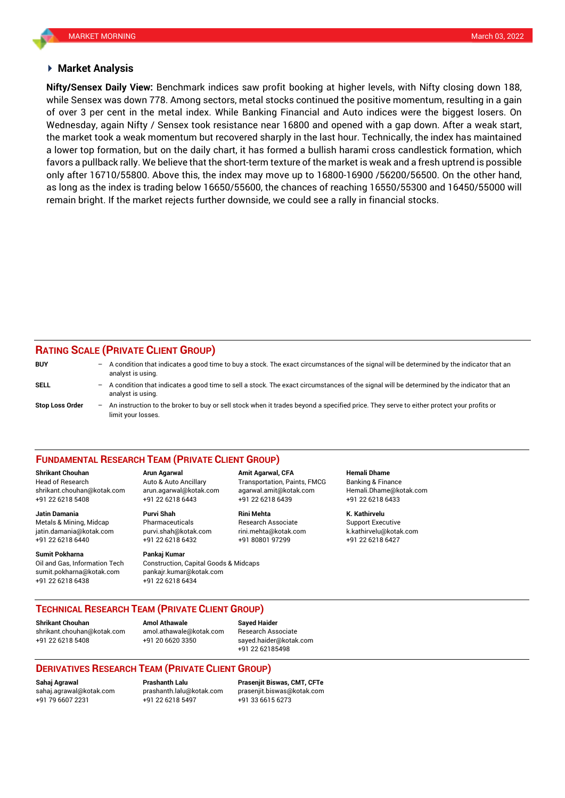### **Market Analysis**

while Sensex was down 778. Among sectors, metal stocks continued the positive momentum, resulting in a gain **Nifty/Sensex Daily View:** Benchmark indices saw profit booking at higher levels, with Nifty closing down 188, of over 3 per cent in the metal index. While Banking Financial and Auto indices were the biggest losers. On Wednesday, again Nifty / Sensex took resistance near 16800 and opened with a gap down. After a weak start, the market took a weak momentum but recovered sharply in the last hour. Technically, the index has maintained a lower top formation, but on the daily chart, it has formed a bullish harami cross candlestick formation, which favors a pullback rally. We believe that the short-term texture of the market is weak and a fresh uptrend is possible only after 16710/55800. Above this, the index may move up to 16800-16900 /56200/56500. On the other hand, as long as the index is trading below 16650/55600, the chances of reaching 16550/55300 and 16450/55000 will remain bright. If the market rejects further downside, we could see a rally in financial stocks.

## **RATING SCALE (PRIVATE CLIENT GROUP)**

| <b>BUY</b>      | - | A condition that indicates a good time to buy a stock. The exact circumstances of the signal will be determined by the indicator that an<br>analyst is using.  |
|-----------------|---|----------------------------------------------------------------------------------------------------------------------------------------------------------------|
| SELL            | - | A condition that indicates a good time to sell a stock. The exact circumstances of the signal will be determined by the indicator that an<br>analyst is using. |
| Stop Loss Order | - | An instruction to the broker to buy or sell stock when it trades beyond a specified price. They serve to either protect your profits or<br>limit your losses.  |

#### **FUNDAMENTAL RESEARCH TEAM (PRIVATE CLIENT GROUP)**

Head of Research Auto & Auto Ancillary Transportation, Paints, FMCG Banking & Finance [shrikant.chouhan@kotak.com](mailto:shrikant.chouhan@kotak.com) arun.agarwal@kotak.com agarwal.amit@kotak.com Hemali.Dhame@kotak.com

**Jatin Damania Purvi Shah Rini Mehta K. Kathirvelu** Metals & Mining, Midcap Pharmaceuticals Research Associate Support Executive jatin.damania@kotak.com [purvi.shah@kotak.com](mailto:purvi.shah@kotak.com) rini.mehta@kotak.com [k.kathirvelu@kotak.com](mailto:k.kathirvelu@kotak.com) +91 22 6218 6440 +91 22 6218 6432 +91 80801 97299 +91 22 6218 6427

Oil and Gas, Information Tech Construction, Capital Goods & Midcaps sumit.pokharna@kotak.com pankajr.kumar@kotak.com +91 22 6218 6438 +91 22 6218 6434

+91 22 6218 5408 +91 22 6218 6443 +91 22 6218 6439 +91 22 6218 6433

# **Sumit Pokharna** Pankaj Kumar

**Shrikant Chouhan Arun Agarwal Amit Agarwal, CFA Hemali Dhame**

## **TECHNICAL RESEARCH TEAM (PRIVATE CLIENT GROUP)**

**Shrikant Chouhan Amol Athawale Sayed Haider**

[shrikant.chouhan@kotak.com](mailto:shrikant.chouhan@kotak.com) [amol.athawale@kotak.com](mailto:amol.athawale@kotak.com) Research Associate +91 22 6218 5408 +91 20 6620 3350 [sayed.haider@kotak.com](mailto:sayed.haider@kotak.com)

+91 22 62185498

## **DERIVATIVES RESEARCH TEAM (PRIVATE CLIENT GROUP)**

+91 22 6218 5497 +91 33 6615 6273

**Sahaj Agrawal Prashanth Lalu Prasenjit Biswas, CMT, CFTe** [sahaj.agrawal@kotak.com](mailto:sahaj.agrawal@kotak.com) [prashanth.lalu@kotak.com](mailto:prashanth.lalu@kotak.com) [prasenjit.biswas@kotak.com](mailto:prasenjit.biswas@kotak.com)